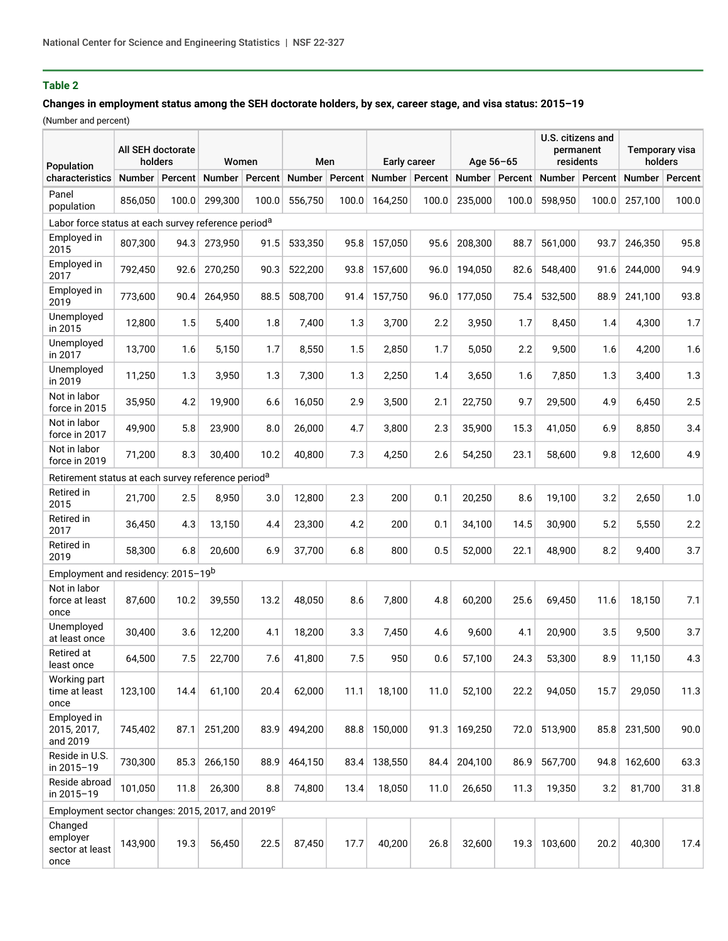# **Table 2**

### **Changes in employment status among the SEH doctorate holders, by sex, career stage, and visa status: 2015–19**

(Number and percent)

| Population                                                      | All SEH doctorate<br>holders |         | Women         |         | Men           |         | Early career     |       | Age 56-65        |       | U.S. citizens and<br>permanent<br>residents |         | Temporary visa<br>holders |         |
|-----------------------------------------------------------------|------------------------------|---------|---------------|---------|---------------|---------|------------------|-------|------------------|-------|---------------------------------------------|---------|---------------------------|---------|
| characteristics                                                 | <b>Number</b>                | Percent | <b>Number</b> | Percent | <b>Number</b> | Percent | Number   Percent |       | Number   Percent |       | Number                                      | Percent | <b>Number</b>             | Percent |
| Panel<br>population                                             | 856,050                      | 100.0   | 299,300       | 100.0   | 556,750       | 100.0   | 164,250          | 100.0 | 235,000          | 100.0 | 598,950                                     | 100.0   | 257,100                   | 100.0   |
| Labor force status at each survey reference period <sup>a</sup> |                              |         |               |         |               |         |                  |       |                  |       |                                             |         |                           |         |
| Employed in<br>2015                                             | 807,300                      | 94.3    | 273,950       | 91.5    | 533,350       | 95.8    | 157,050          | 95.6  | 208,300          | 88.7  | 561,000                                     | 93.7    | 246,350                   | 95.8    |
| Employed in<br>2017                                             | 792,450                      | 92.6    | 270.250       | 90.3    | 522,200       | 93.8    | 157,600          | 96.0  | 194,050          | 82.6  | 548.400                                     | 91.6    | 244,000                   | 94.9    |
| Employed in<br>2019                                             | 773,600                      | 90.4    | 264,950       | 88.5    | 508,700       | 91.4    | 157,750          | 96.0  | 177,050          | 75.4  | 532,500                                     | 88.9    | 241,100                   | 93.8    |
| Unemployed<br>in 2015                                           | 12,800                       | 1.5     | 5,400         | 1.8     | 7,400         | 1.3     | 3,700            | 2.2   | 3,950            | 1.7   | 8,450                                       | 1.4     | 4,300                     | 1.7     |
| Unemployed<br>in 2017                                           | 13,700                       | 1.6     | 5,150         | 1.7     | 8,550         | 1.5     | 2,850            | 1.7   | 5.050            | 2.2   | 9,500                                       | 1.6     | 4,200                     | 1.6     |
| Unemployed<br>in 2019                                           | 11,250                       | 1.3     | 3,950         | 1.3     | 7,300         | 1.3     | 2,250            | 1.4   | 3,650            | 1.6   | 7,850                                       | 1.3     | 3,400                     | 1.3     |
| Not in labor<br>force in 2015                                   | 35,950                       | 4.2     | 19,900        | 6.6     | 16,050        | 2.9     | 3,500            | 2.1   | 22,750           | 9.7   | 29,500                                      | 4.9     | 6,450                     | 2.5     |
| Not in labor<br>force in 2017                                   | 49,900                       | 5.8     | 23,900        | 8.0     | 26.000        | 4.7     | 3,800            | 2.3   | 35,900           | 15.3  | 41,050                                      | 6.9     | 8,850                     | 3.4     |
| Not in labor<br>force in 2019                                   | 71,200                       | 8.3     | 30,400        | 10.2    | 40,800        | 7.3     | 4,250            | 2.6   | 54,250           | 23.1  | 58,600                                      | 9.8     | 12,600                    | 4.9     |
| Retirement status at each survey reference period <sup>a</sup>  |                              |         |               |         |               |         |                  |       |                  |       |                                             |         |                           |         |
| Retired in<br>2015                                              | 21,700                       | 2.5     | 8,950         | 3.0     | 12,800        | 2.3     | 200              | 0.1   | 20,250           | 8.6   | 19,100                                      | 3.2     | 2,650                     | 1.0     |
| Retired in<br>2017                                              | 36,450                       | 4.3     | 13,150        | 4.4     | 23,300        | 4.2     | 200              | 0.1   | 34,100           | 14.5  | 30,900                                      | 5.2     | 5,550                     | $2.2\,$ |
| Retired in<br>2019                                              | 58,300                       | 6.8     | 20,600        | 6.9     | 37,700        | 6.8     | 800              | 0.5   | 52,000           | 22.1  | 48,900                                      | 8.2     | 9,400                     | 3.7     |
| Employment and residency: 2015-19 <sup>b</sup>                  |                              |         |               |         |               |         |                  |       |                  |       |                                             |         |                           |         |
| Not in labor<br>force at least<br>once                          | 87,600                       | 10.2    | 39,550        | 13.2    | 48,050        | 8.6     | 7.800            | 4.8   | 60.200           | 25.6  | 69,450                                      | 11.6    | 18,150                    | 7.1     |
| Unemploved<br>at least once                                     | 30,400                       | 3.6     | 12,200        | 4.1     | 18,200        | 3.3     | 7,450            | 4.6   | 9,600            | 4.1   | 20,900                                      | 3.5     | 9,500                     | 3.7     |
| Retired at<br>least once                                        | 64,500                       | 7.5     | 22,700        | 7.6     | 41,800        | 7.5     | 950              | 0.6   | 57,100           | 24.3  | 53,300                                      | 8.9     | 11,150                    | 4.3     |
| Working part<br>time at least<br>once                           | 123,100                      | 14.4    | 61,100        | 20.4    | 62,000        | 11.1    | 18,100           | 11.0  | 52,100           | 22.2  | 94,050                                      | 15.7    | 29,050                    | 11.3    |
| Employed in<br>2015, 2017,<br>and 2019                          | 745,402                      | 87.1    | 251,200       | 83.9    | 494,200       | 88.8    | 150,000          | 91.3  | 169,250          | 72.0  | 513,900                                     | 85.8    | 231,500                   | 90.0    |
| Reside in U.S.<br>in 2015-19                                    | 730,300                      | 85.3    | 266,150       | 88.9    | 464,150       | 83.4    | 138,550          | 84.4  | 204,100          | 86.9  | 567,700                                     | 94.8    | 162,600                   | 63.3    |
| Reside abroad<br>in 2015-19                                     | 101,050                      | 11.8    | 26,300        | 8.8     | 74,800        | 13.4    | 18,050           | 11.0  | 26,650           | 11.3  | 19,350                                      | 3.2     | 81,700                    | 31.8    |
| Employment sector changes: 2015, 2017, and 2019 <sup>C</sup>    |                              |         |               |         |               |         |                  |       |                  |       |                                             |         |                           |         |
| Changed<br>employer<br>sector at least<br>once                  | 143,900                      | 19.3    | 56,450        | 22.5    | 87,450        | 17.7    | 40,200           | 26.8  | 32,600           | 19.3  | 103,600                                     | 20.2    | 40,300                    | 17.4    |